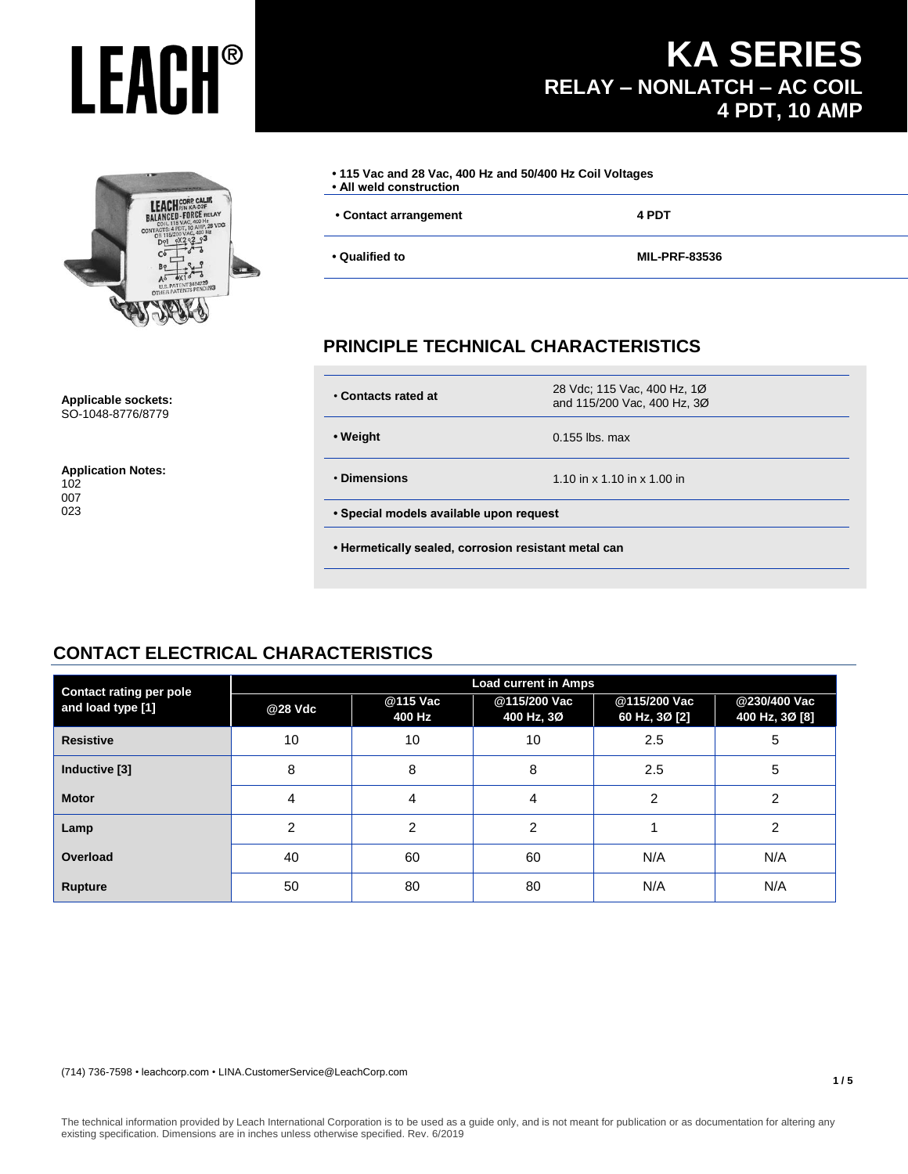## **LEACH CORP CALIF.**<br>BALANCED - FORCE RELAY 8 VDC

| • 115 Vac and 28 Vac, 400 Hz and 50/400 Hz Coil Voltages<br>· All weld construction |                      |
|-------------------------------------------------------------------------------------|----------------------|
| • Contact arrangement                                                               | 4 PDT                |
| • Qualified to                                                                      | <b>MIL-PRF-83536</b> |

**KA SERIES**

**4 PDT, 10 AMP**

**RELAY – NONLATCH – AC COIL**

#### **PRINCIPLE TECHNICAL CHARACTERISTICS**

| • Contacts rated at                                  | 28 Vdc; 115 Vac, 400 Hz, 10<br>and 115/200 Vac, 400 Hz, 30 |  |
|------------------------------------------------------|------------------------------------------------------------|--|
| • Weight                                             | $0.155$ lbs. max                                           |  |
| • Dimensions                                         | 1.10 in $\times$ 1.10 in $\times$ 1.00 in                  |  |
| • Special models available upon request              |                                                            |  |
| • Hermetically sealed, corrosion resistant metal can |                                                            |  |

#### **CONTACT ELECTRICAL CHARACTERISTICS**

| <b>Contact rating per pole</b> |         |                    | <b>Load current in Amps</b> |                               |                                |
|--------------------------------|---------|--------------------|-----------------------------|-------------------------------|--------------------------------|
| and load type [1]              | @28 Vdc | @115 Vac<br>400 Hz | @115/200 Vac<br>400 Hz, 3Ø  | @115/200 Vac<br>60 Hz, 3Ø [2] | @230/400 Vac<br>400 Hz, 3Ø [8] |
| <b>Resistive</b>               | 10      | 10                 | 10                          | 2.5                           | 5                              |
| Inductive [3]                  | 8       | 8                  | 8                           | 2.5                           | 5                              |
| <b>Motor</b>                   | 4       | 4                  | 4                           | $\overline{2}$                | $\overline{2}$                 |
| Lamp                           | 2       | 2                  | $\overline{2}$              |                               | $\overline{2}$                 |
| Overload                       | 40      | 60                 | 60                          | N/A                           | N/A                            |
| <b>Rupture</b>                 | 50      | 80                 | 80                          | N/A                           | N/A                            |

#### **1 / 5**

#### The technical information provided by Leach International Corporation is to be used as a guide only, and is not meant for publication or as documentation for altering any existing specification. Dimensions are in inches unless otherwise specified. Rev. 6/2019

**Application Notes:** 102 007 023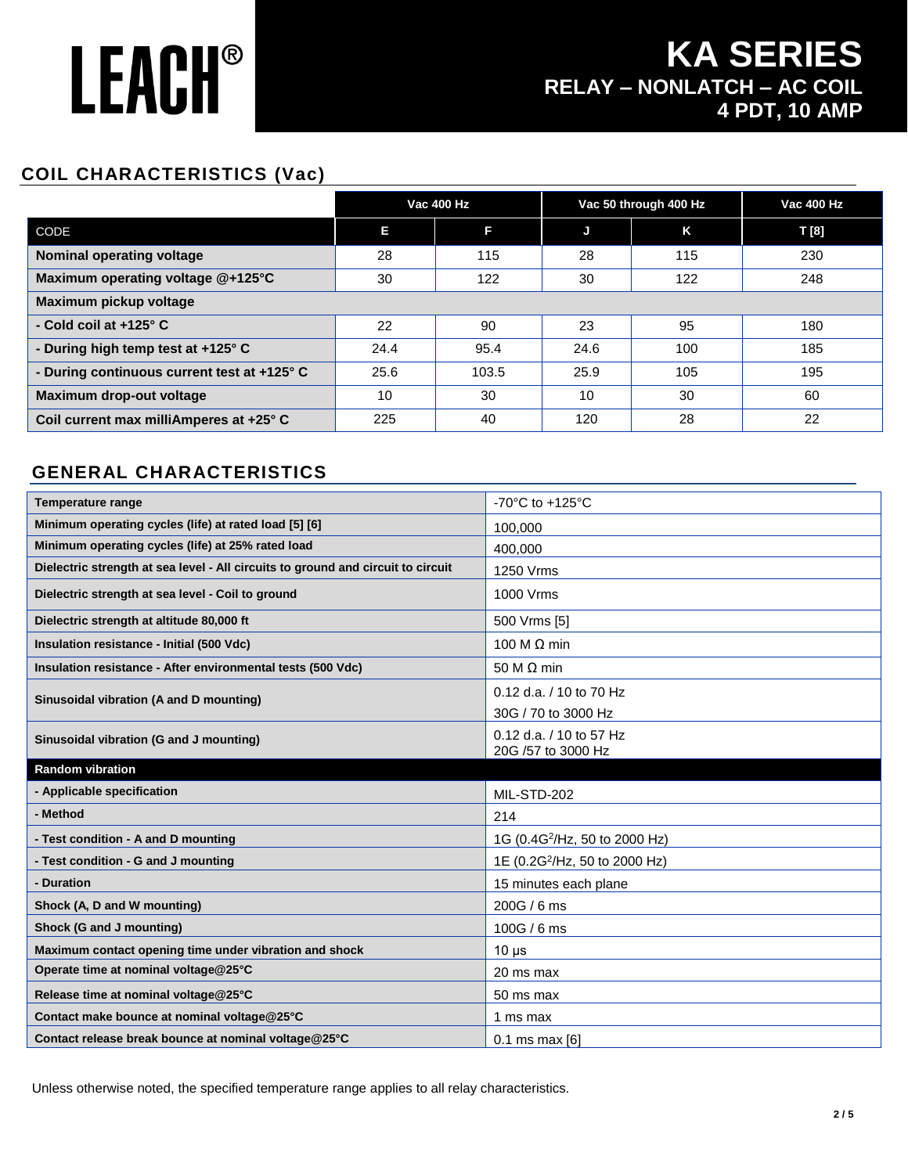### **KA SERIES RELAY – NONLATCH – AC COIL 4 PDT, 10 AMP**

### **COIL CHARACTERISTICS (Vac)**

|                                             |      | <b>Vac 400 Hz</b> |      | Vac 50 through 400 Hz | <b>Vac 400 Hz</b> |
|---------------------------------------------|------|-------------------|------|-----------------------|-------------------|
| CODE                                        | Е    | Е                 | J    | K                     | T [8]             |
| <b>Nominal operating voltage</b>            | 28   | 115               | 28   | 115                   | 230               |
| Maximum operating voltage @+125°C           | 30   | 122               | 30   | 122                   | 248               |
| Maximum pickup voltage                      |      |                   |      |                       |                   |
| - Cold coil at $+125^\circ$ C               | 22   | 90                | 23   | 95                    | 180               |
| - During high temp test at +125° C          | 24.4 | 95.4              | 24.6 | 100                   | 185               |
| - During continuous current test at +125° C | 25.6 | 103.5             | 25.9 | 105                   | 195               |
| Maximum drop-out voltage                    | 10   | 30                | 10   | 30                    | 60                |
| Coil current max milliAmperes at +25° C     | 225  | 40                | 120  | 28                    | 22                |

#### **GENERAL CHARACTERISTICS**

| <b>Temperature range</b>                                                         | -70 $^{\circ}$ C to +125 $^{\circ}$ C         |
|----------------------------------------------------------------------------------|-----------------------------------------------|
| Minimum operating cycles (life) at rated load [5] [6]                            | 100.000                                       |
| Minimum operating cycles (life) at 25% rated load                                | 400.000                                       |
| Dielectric strength at sea level - All circuits to ground and circuit to circuit | 1250 Vrms                                     |
| Dielectric strength at sea level - Coil to ground                                | 1000 Vrms                                     |
| Dielectric strength at altitude 80,000 ft                                        | 500 Vrms [5]                                  |
| Insulation resistance - Initial (500 Vdc)                                        | 100 M $\Omega$ min                            |
| Insulation resistance - After environmental tests (500 Vdc)                      | 50 M $\Omega$ min                             |
| Sinusoidal vibration (A and D mounting)                                          | 0.12 d.a. / 10 to 70 Hz                       |
|                                                                                  | 30G / 70 to 3000 Hz                           |
| Sinusoidal vibration (G and J mounting)                                          | 0.12 d.a. / 10 to 57 Hz<br>20G /57 to 3000 Hz |
|                                                                                  |                                               |
| <b>Random vibration</b>                                                          |                                               |
| - Applicable specification                                                       | MIL-STD-202                                   |
| - Method                                                                         | 214                                           |
| - Test condition - A and D mounting                                              | 1G (0.4G <sup>2</sup> /Hz, 50 to 2000 Hz)     |
| - Test condition - G and J mounting                                              | 1E (0.2G <sup>2</sup> /Hz, 50 to 2000 Hz)     |
| - Duration                                                                       | 15 minutes each plane                         |
| Shock (A, D and W mounting)                                                      | 200G / 6 ms                                   |
| Shock (G and J mounting)                                                         | 100G / 6 ms                                   |
| Maximum contact opening time under vibration and shock                           | $10 \mu s$                                    |
| Operate time at nominal voltage@25°C                                             | 20 ms max                                     |
| Release time at nominal voltage@25°C                                             | 50 ms max                                     |
| Contact make bounce at nominal voltage@25°C                                      | 1 ms max                                      |

Unless otherwise noted, the specified temperature range applies to all relay characteristics.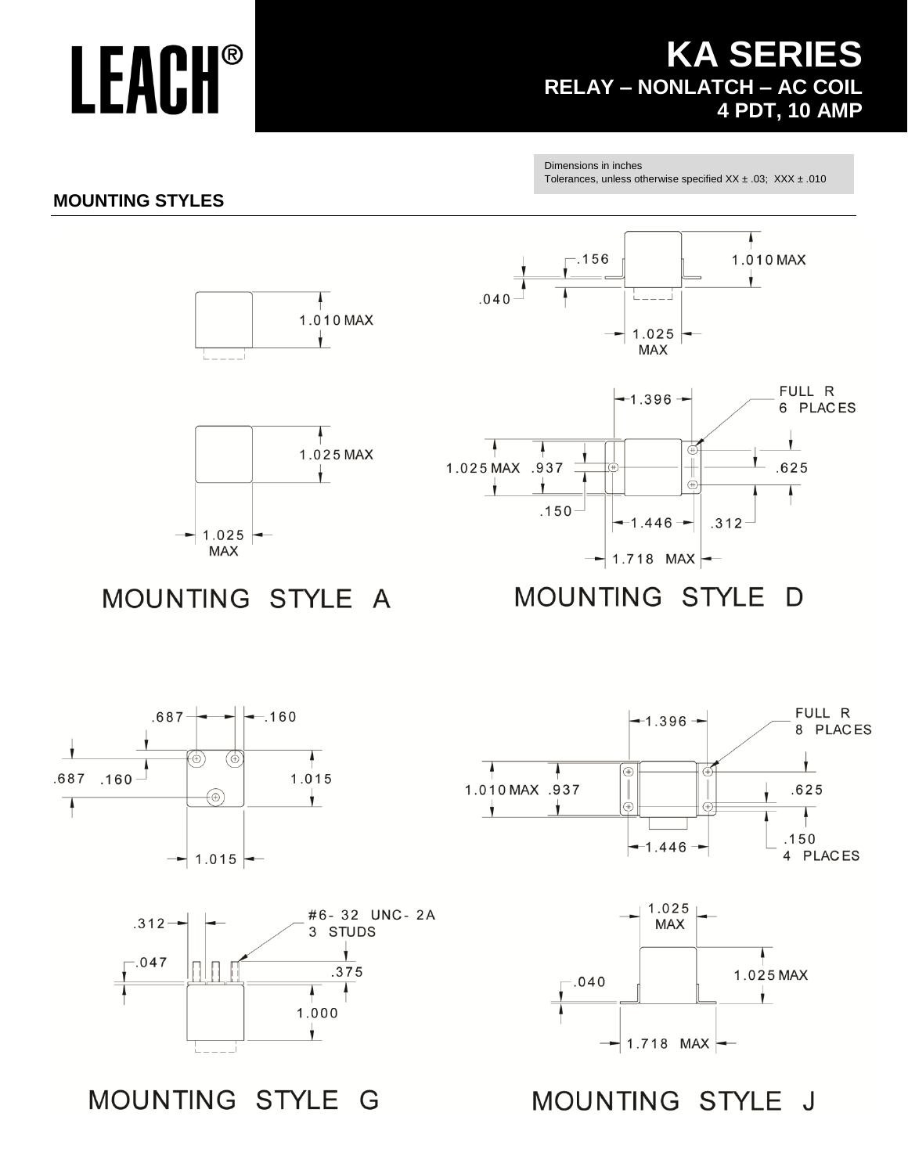### **KA SERIES RELAY – NONLATCH – AC COIL 4 PDT, 10 AMP**

Dimensions in inches Tolerances, unless otherwise specified  $XX \pm .03$ ;  $XXX \pm .010$ 

#### **MOUNTING STYLES**



4

Ý.

1.025 MAX





MOUNTING STYLE A

 $\leftarrow$ 

 $1.025$ 

MAX

**MOUNTING STYLE** D











MOUNTING STYLE G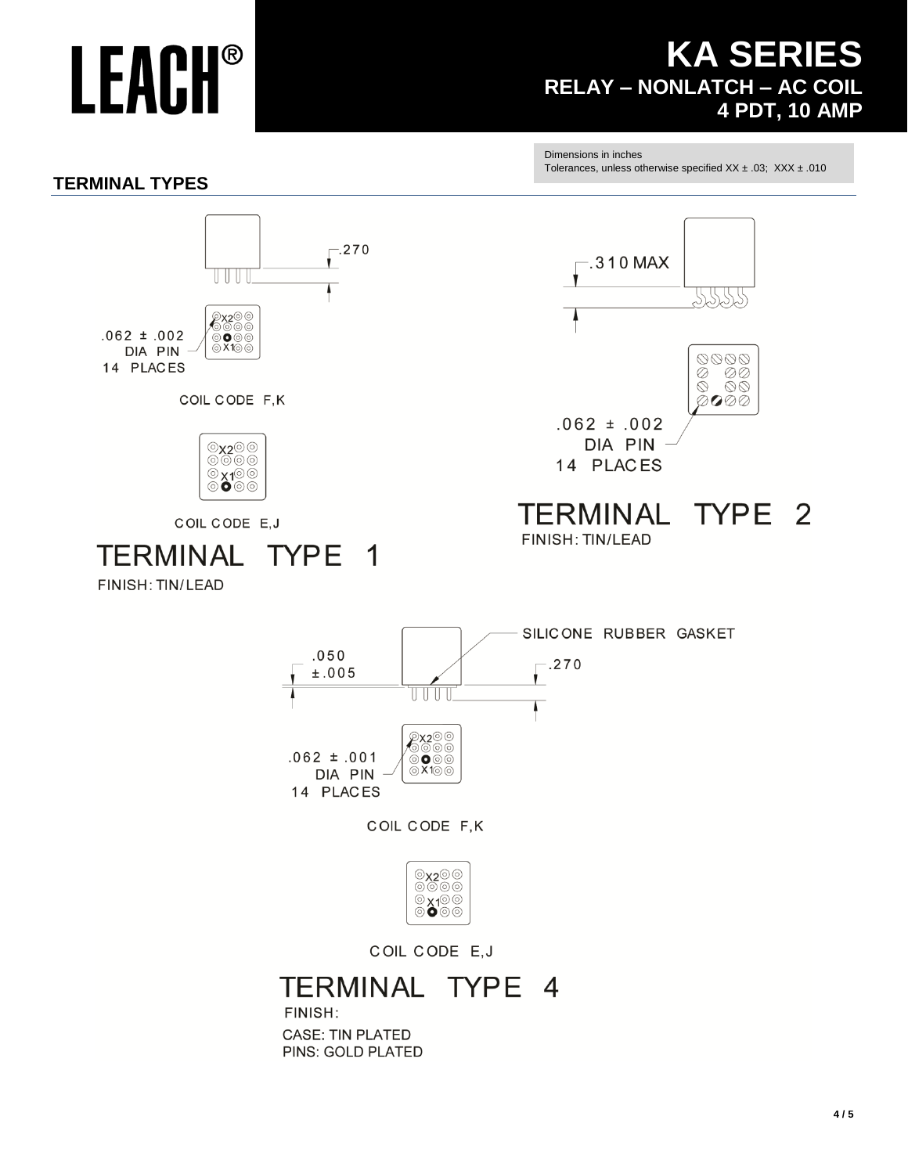### **KA SERIES RELAY - NONLATCH - AC COIL 4 PDT, 10 AMP**

Dimensions in inches

Tolerances, unless otherwise specified  $XX \pm .03$ ;  $XXX \pm .010$ 

#### **TERMINAL TYPES**





COIL CODE E, J

#### **TERMINAL** TYPE 4

FINISH: **CASE: TIN PLATED** PINS: GOLD PLATED